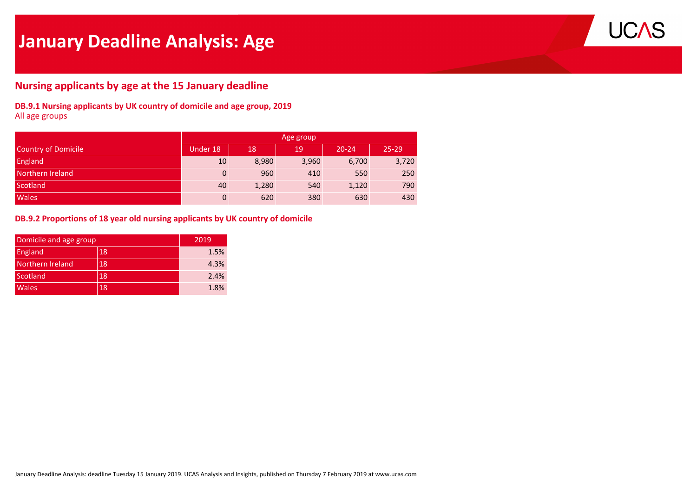# **January Deadline Analysis: Age**



# **Nursing applicants by age at the 15 January deadline**

**DB.9.1 Nursing applicants by UK country of domicile and age group, 2019** All age groups

|                     | Age group    |       |       |           |           |  |  |  |  |  |  |
|---------------------|--------------|-------|-------|-----------|-----------|--|--|--|--|--|--|
| Country of Domicile | Under 18     | 18    | 19    | $20 - 24$ | $25 - 29$ |  |  |  |  |  |  |
| <b>England</b>      | 10           | 8,980 | 3,960 | 6,700     | 3,720     |  |  |  |  |  |  |
| Northern Ireland    | $\mathbf{0}$ | 960   | 410   | 550       | 250       |  |  |  |  |  |  |
| Scotland            | 40           | 1,280 | 540   | 1,120     | 790       |  |  |  |  |  |  |
| <b>Wales</b>        | $\Omega$     | 620   | 380   | 630       | 430       |  |  |  |  |  |  |

#### **DB.9.2 Proportions of 18 year old nursing applicants by UK country of domicile**

|                  | Domicile and age group |      |  |  |  |  |
|------------------|------------------------|------|--|--|--|--|
| England          | 18                     | 1.5% |  |  |  |  |
| Northern Ireland | 18                     | 4.3% |  |  |  |  |
| Scotland         | 18                     | 2.4% |  |  |  |  |
| <b>Wales</b>     | 18                     | 1.8% |  |  |  |  |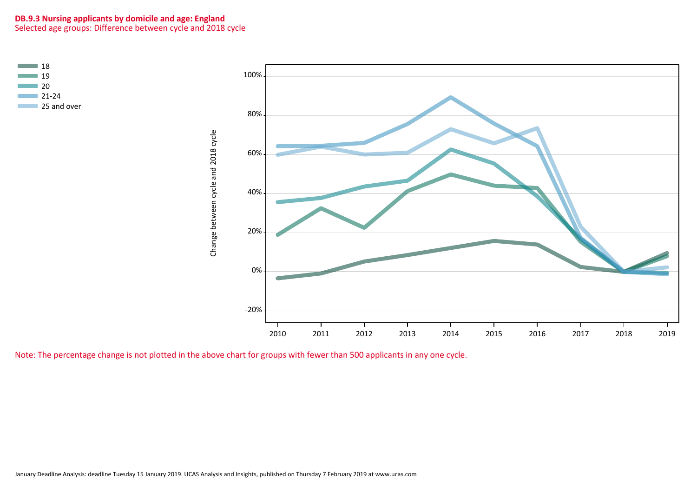#### **DB.9.3 Nursing applicants by domicile and age: England** Selected age groups: Difference between cycle and 2018 cycle



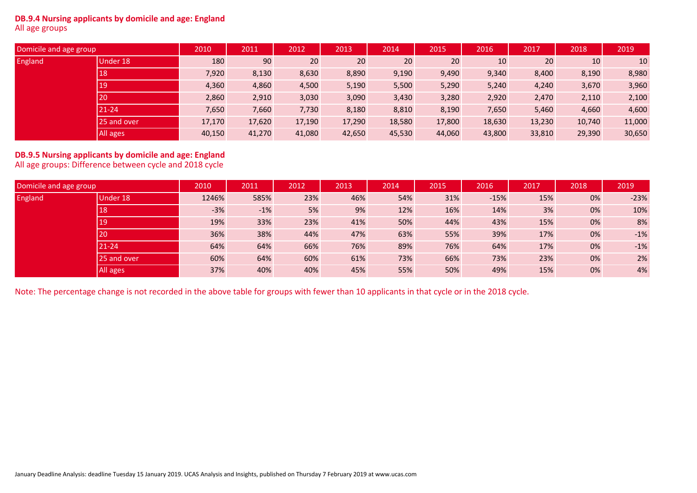#### **DB.9.4 Nursing applicants by domicile and age: England** All age groups

| Domicile and age group |             | 2010   | 2011   | 2012   | 2013   | 2014   | 2015   | 2016   | 2017   | 2018   | 2019   |
|------------------------|-------------|--------|--------|--------|--------|--------|--------|--------|--------|--------|--------|
| England                | Under 18    | 180    | 90     | 20     | 20     | 20     | 20     | 10     | 20     | 10     | 10     |
|                        | 18          | 7,920  | 8,130  | 8,630  | 8,890  | 9,190  | 9,490  | 9,340  | 8,400  | 8,190  | 8,980  |
|                        | 19          | 4,360  | 4,860  | 4,500  | 5,190  | 5,500  | 5,290  | 5,240  | 4,240  | 3,670  | 3,960  |
|                        | 20          | 2,860  | 2,910  | 3,030  | 3,090  | 3,430  | 3,280  | 2,920  | 2,470  | 2,110  | 2,100  |
|                        | 21-24       | 7,650  | 7,660  | 7,730  | 8,180  | 8,810  | 8,190  | 7,650  | 5,460  | 4,660  | 4,600  |
|                        | 25 and over | 17,170 | 17,620 | 17,190 | 17,290 | 18,580 | 17,800 | 18,630 | 13,230 | 10,740 | 11,000 |
|                        | All ages    | 40,150 | 41,270 | 41,080 | 42,650 | 45,530 | 44,060 | 43,800 | 33,810 | 29,390 | 30,650 |

# **DB.9.5 Nursing applicants by domicile and age: England** All age groups: Difference between cycle and 2018 cycle

| Domicile and age group |             | 2010  | 2011  | 2012 | 2013 | 2014 | 2015 | 2016   | 2017 | 2018 | 2019   |
|------------------------|-------------|-------|-------|------|------|------|------|--------|------|------|--------|
| England                | Under 18    | 1246% | 585%  | 23%  | 46%  | 54%  | 31%  | $-15%$ | 15%  | 0%   | $-23%$ |
|                        | 18          | $-3%$ | $-1%$ | 5%   | 9%   | 12%  | 16%  | 14%    | 3%   | 0%   | 10%    |
|                        | 19          | 19%   | 33%   | 23%  | 41%  | 50%  | 44%  | 43%    | 15%  | 0%   | 8%     |
|                        | 20          | 36%   | 38%   | 44%  | 47%  | 63%  | 55%  | 39%    | 17%  | 0%   | $-1%$  |
|                        | $21 - 24$   | 64%   | 64%   | 66%  | 76%  | 89%  | 76%  | 64%    | 17%  | 0%   | $-1%$  |
|                        | 25 and over | 60%   | 64%   | 60%  | 61%  | 73%  | 66%  | 73%    | 23%  | 0%   | 2%     |
|                        | All ages    | 37%   | 40%   | 40%  | 45%  | 55%  | 50%  | 49%    | 15%  | 0%   | 4%     |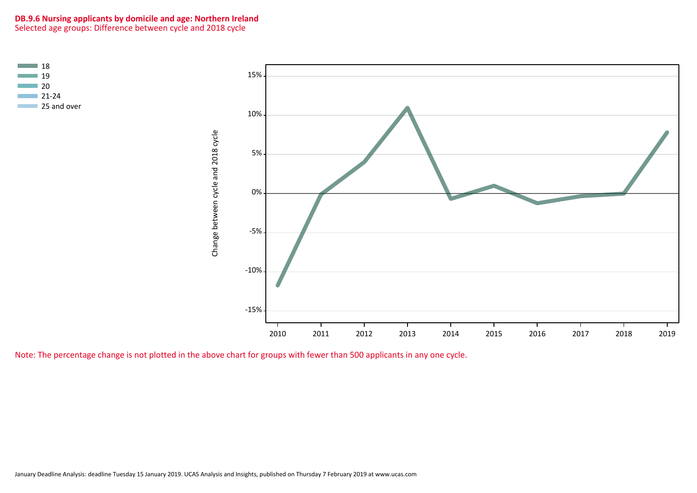#### **DB.9.6 Nursing applicants by domicile and age: Northern Ireland** Selected age groups: Difference between cycle and 2018 cycle



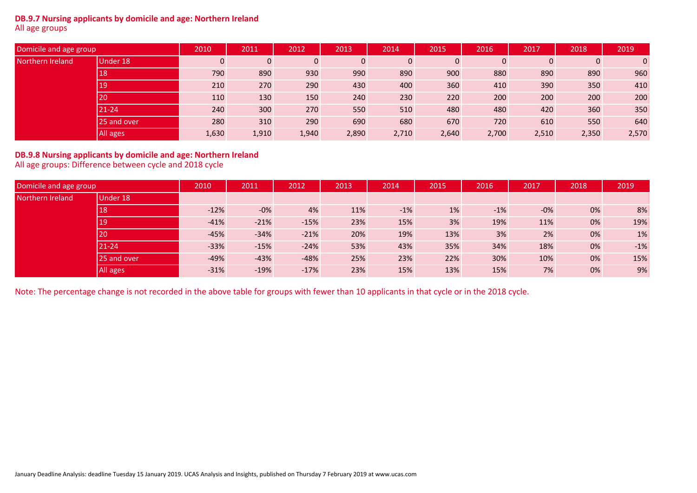#### **DB.9.7 Nursing applicants by domicile and age: Northern Ireland** All age groups

| Domicile and age group |             | 2010  | 2011  | 2012  | 2013  | 2014        | 2015           | 2016        | 2017  | 2018         | 2019         |
|------------------------|-------------|-------|-------|-------|-------|-------------|----------------|-------------|-------|--------------|--------------|
| Northern Ireland       | Under 18    | 0     |       | 0     | 0     | $\mathbf 0$ | $\overline{0}$ | $\mathbf 0$ | 0     | $\mathbf{0}$ | $\mathbf{0}$ |
|                        | 18          | 790   | 890   | 930   | 990   | 890         | 900            | 880         | 890   | 890          | 960          |
|                        | 19          | 210   | 270   | 290   | 430   | 400         | 360            | 410         | 390   | 350          | 410          |
|                        | <b>20</b>   | 110   | 130   | 150   | 240   | 230         | 220            | 200         | 200   | 200          | 200          |
|                        | 21-24       | 240   | 300   | 270   | 550   | 510         | 480            | 480         | 420   | 360          | 350          |
|                        | 25 and over | 280   | 310   | 290   | 690   | 680         | 670            | 720         | 610   | 550          | 640          |
|                        | All ages    | 1,630 | 1,910 | 1,940 | 2,890 | 2,710       | 2,640          | 2,700       | 2,510 | 2,350        | 2,570        |

# **DB.9.8 Nursing applicants by domicile and age: Northern Ireland** All age groups: Difference between cycle and 2018 cycle

| Domicile and age group |                 | 2010   | 2011   | 2012   | 2013 | 2014  | 2015 | 2016  | 2017   | 2018 | 2019  |
|------------------------|-----------------|--------|--------|--------|------|-------|------|-------|--------|------|-------|
| Northern Ireland       | Under 18        |        |        |        |      |       |      |       |        |      |       |
|                        | 18              | $-12%$ | $-0\%$ | 4%     | 11%  | $-1%$ | 1%   | $-1%$ | $-0\%$ | 0%   | 8%    |
|                        | 19 <sub>l</sub> | $-41%$ | $-21%$ | $-15%$ | 23%  | 15%   | 3%   | 19%   | 11%    | 0%   | 19%   |
|                        | 20              | $-45%$ | $-34%$ | $-21%$ | 20%  | 19%   | 13%  | 3%    | 2%     | 0%   | 1%    |
|                        | $21 - 24$       | $-33%$ | $-15%$ | $-24%$ | 53%  | 43%   | 35%  | 34%   | 18%    | 0%   | $-1%$ |
|                        | 25 and over     | $-49%$ | $-43%$ | $-48%$ | 25%  | 23%   | 22%  | 30%   | 10%    | 0%   | 15%   |
|                        | All ages        | $-31%$ | $-19%$ | $-17%$ | 23%  | 15%   | 13%  | 15%   | 7%     | 0%   | 9%    |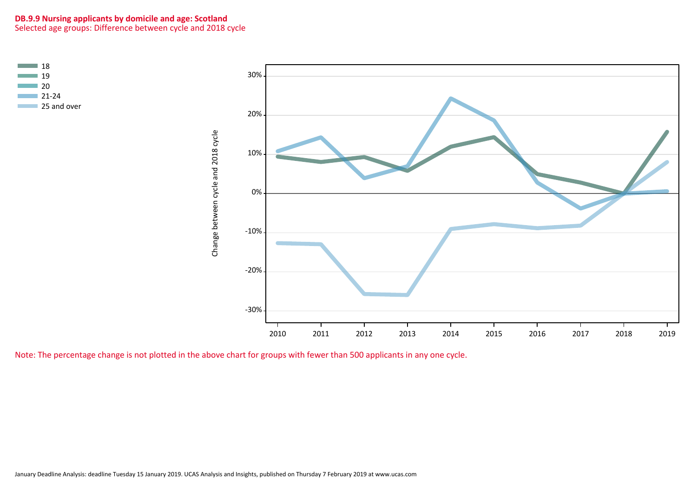# **DB.9.9 Nursing applicants by domicile and age: Scotland** Selected age groups: Difference between cycle and 2018 cycle



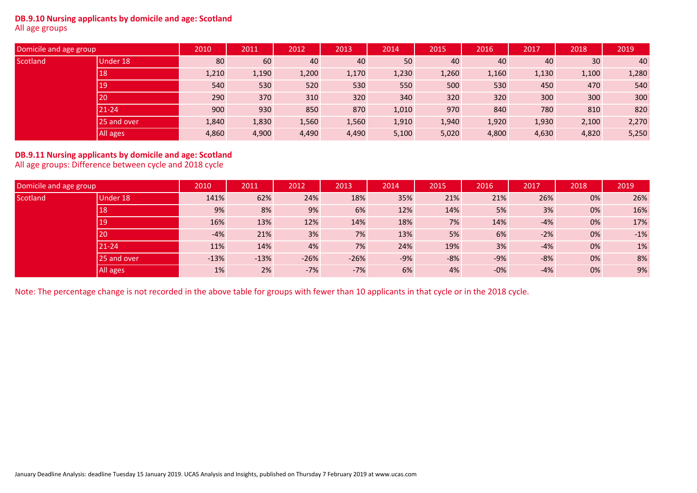#### **DB.9.10 Nursing applicants by domicile and age: Scotland** All age groups

| Domicile and age group |             | 2010  | 2011  | 2012  | 2013  | 2014  | 2015  | 2016  | 2017  | 2018  | 2019  |
|------------------------|-------------|-------|-------|-------|-------|-------|-------|-------|-------|-------|-------|
| Scotland               | Under 18    | 80    | 60    | 40    | 40    | 50    | 40    | 40    | 40    | 30    | 40    |
|                        | 18          | 1,210 | 1,190 | 1,200 | 1,170 | 1,230 | 1,260 | 1,160 | 1,130 | 1,100 | 1,280 |
|                        | 19          | 540   | 530   | 520   | 530   | 550   | 500   | 530   | 450   | 470   | 540   |
|                        | 20          | 290   | 370   | 310   | 320   | 340   | 320   | 320   | 300   | 300   | 300   |
|                        | $21 - 24$   | 900   | 930   | 850   | 870   | 1,010 | 970   | 840   | 780   | 810   | 820   |
|                        | 25 and over | 1,840 | 1,830 | 1,560 | 1,560 | 1,910 | 1,940 | 1,920 | 1,930 | 2,100 | 2,270 |
|                        | All ages    | 4,860 | 4,900 | 4,490 | 4,490 | 5,100 | 5,020 | 4,800 | 4,630 | 4,820 | 5,250 |

# **DB.9.11 Nursing applicants by domicile and age: Scotland** All age groups: Difference between cycle and 2018 cycle

| Domicile and age group |             | 2010   | 2011   | 2012   | 2013   | 2014  | 2015  | 2016  | 2017  | 2018 | 2019  |
|------------------------|-------------|--------|--------|--------|--------|-------|-------|-------|-------|------|-------|
| Scotland               | Under 18    | 141%   | 62%    | 24%    | 18%    | 35%   | 21%   | 21%   | 26%   | 0%   | 26%   |
|                        | 18          | 9%     | 8%     | 9%     | 6%     | 12%   | 14%   | 5%    | 3%    | 0%   | 16%   |
|                        | 19          | 16%    | 13%    | 12%    | 14%    | 18%   | 7%    | 14%   | $-4%$ | 0%   | 17%   |
|                        | 20          | $-4%$  | 21%    | 3%     | 7%     | 13%   | 5%    | 6%    | $-2%$ | 0%   | $-1%$ |
|                        | $21 - 24$   | 11%    | 14%    | 4%     | 7%     | 24%   | 19%   | 3%    | $-4%$ | 0%   | 1%    |
|                        | 25 and over | $-13%$ | $-13%$ | $-26%$ | $-26%$ | $-9%$ | $-8%$ | $-9%$ | $-8%$ | 0%   | 8%    |
|                        | All ages    | 1%     | 2%     | $-7%$  | $-7%$  | 6%    | 4%    | $-0%$ | $-4%$ | 0%   | 9%    |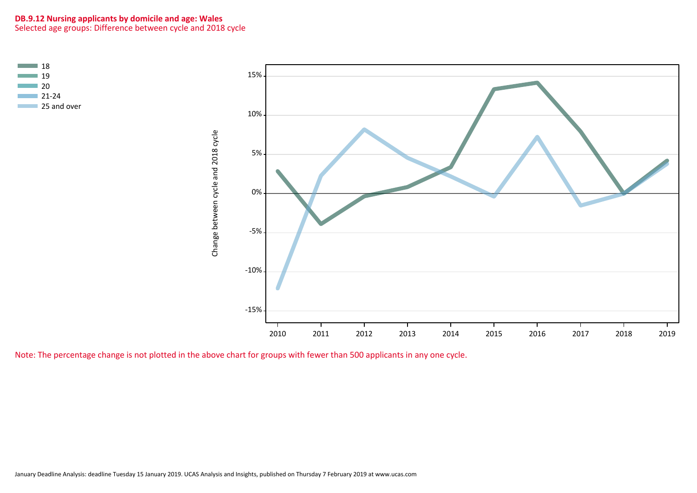# **DB.9.12 Nursing applicants by domicile and age: Wales** Selected age groups: Difference between cycle and 2018 cycle



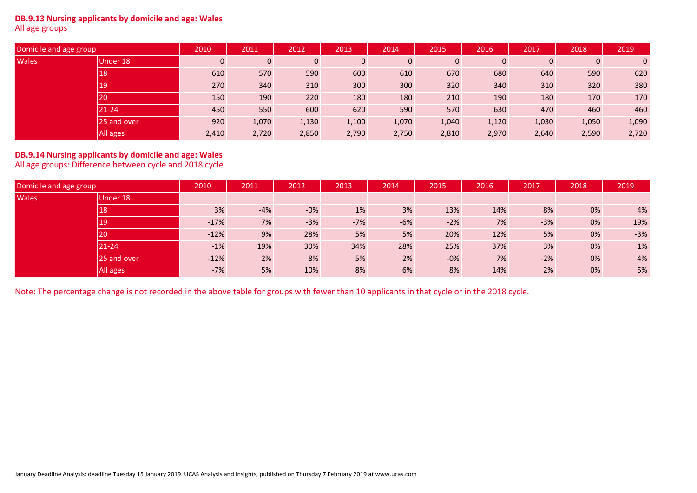#### **DB.9.13 Nursing applicants by domicile and age: Wales** All age groups

| Domicile and age group |             | 2010         | 2011  | 2012  | 2013  | 2014         | 2015  | 2016        | 2017           | 2018         | 2019           |
|------------------------|-------------|--------------|-------|-------|-------|--------------|-------|-------------|----------------|--------------|----------------|
| <b>Wales</b>           | Under 18    | $\mathbf{0}$ |       | 0     | 0     | $\mathbf{0}$ | 0     | $\mathbf 0$ | $\overline{0}$ | $\mathbf{0}$ | $\overline{0}$ |
|                        | 18          | 610          | 570   | 590   | 600   | 610          | 670   | 680         | 640            | 590          | 620            |
|                        | 19          | 270          | 340   | 310   | 300   | 300          | 320   | 340         | 310            | 320          | 380            |
|                        | 20          | 150          | 190   | 220   | 180   | 180          | 210   | 190         | 180            | 170          | 170            |
|                        | $21 - 24$   | 450          | 550   | 600   | 620   | 590          | 570   | 630         | 470            | 460          | 460            |
|                        | 25 and over | 920          | 1,070 | 1,130 | 1,100 | 1,070        | 1,040 | 1,120       | 1,030          | 1,050        | 1,090          |
|                        | All ages    | 2,410        | 2,720 | 2,850 | 2,790 | 2,750        | 2,810 | 2,970       | 2,640          | 2,590        | 2,720          |

# **DB.9.14 Nursing applicants by domicile and age: Wales** All age groups: Difference between cycle and 2018 cycle

| Domicile and age group |             | 2010   | 2011  | 2012   | 2013  | 2014  | 2015   | 2016 | 2017  | 2018 | 2019  |
|------------------------|-------------|--------|-------|--------|-------|-------|--------|------|-------|------|-------|
| <b>Wales</b>           | Under 18    |        |       |        |       |       |        |      |       |      |       |
|                        | 18          | 3%     | $-4%$ | $-0\%$ | 1%    | 3%    | 13%    | 14%  | 8%    | 0%   | 4%    |
|                        | 19          | $-17%$ | 7%    | $-3%$  | $-7%$ | $-6%$ | $-2%$  | 7%   | $-3%$ | 0%   | 19%   |
|                        | 20          | $-12%$ | 9%    | 28%    | 5%    | 5%    | 20%    | 12%  | 5%    | 0%   | $-3%$ |
|                        | $21 - 24$   | $-1%$  | 19%   | 30%    | 34%   | 28%   | 25%    | 37%  | 3%    | 0%   | 1%    |
|                        | 25 and over | $-12%$ | 2%    | 8%     | 5%    | 2%    | $-0\%$ | 7%   | $-2%$ | 0%   | 4%    |
|                        | All ages    | $-7%$  | 5%    | 10%    | 8%    | 6%    | 8%     | 14%  | 2%    | 0%   | 5%    |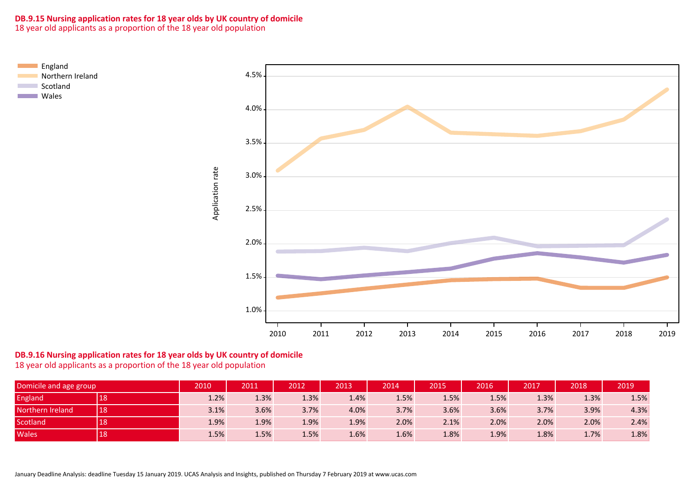# **DB.9.15 Nursing application rates for 18 year olds by UK country of domicile**

18 year old applicants as a proportion of the 18 year old population



# **DB.9.16 Nursing application rates for 18 year olds by UK country of domicile**

18 year old applicants as a proportion of the 18 year old population

| Domicile and age group |    | 2010 | 2011 | 2012 | 2013 | 2014    | 2015 | 2016 | 2017 | 2018 | 2019 |
|------------------------|----|------|------|------|------|---------|------|------|------|------|------|
| <b>England</b>         | 18 | 1.2% | 1.3% | 1.3% | 1.4% | $1.5\%$ | 1.5% | 1.5% | 1.3% | 1.3% | 1.5% |
| Northern Ireland       | 18 | 3.1% | 3.6% | 3.7% | 4.0% | 3.7%    | 3.6% | 3.6% | 3.7% | 3.9% | 4.3% |
| <b>Scotland</b>        | 18 | 1.9% | 1.9% | 1.9% | 1.9% | 2.0%    | 2.1% | 2.0% | 2.0% | 2.0% | 2.4% |
| Wales                  | 18 | 1.5% | 1.5% | 1.5% | 1.6% | $1.6\%$ | 1.8% | 1.9% | 1.8% | 1.7% | 1.8% |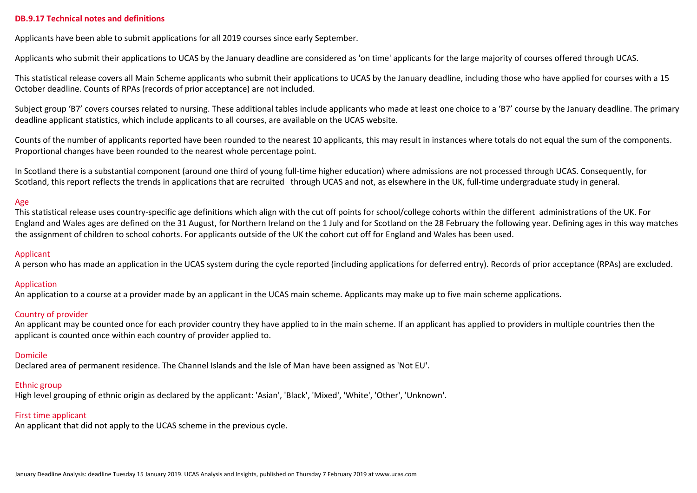#### **DB.9.17 Technical notes and definitions**

Applicants have been able to submit applications for all 2019 courses since early September.

Applicants who submit their applications to UCAS by the January deadline are considered as 'on time' applicants for the large majority of courses offered through UCAS.

This statistical release covers all Main Scheme applicants who submit their applications to UCAS by the January deadline, including those who have applied for courses with a 15 October deadline. Counts of RPAs (records of prior acceptance) are not included.

Subject group 'B7' covers courses related to nursing. These additional tables include applicants who made at least one choice to a 'B7' course by the January deadline. The primary deadline applicant statistics, which include applicants to all courses, are available on the UCAS website.

Counts of the number of applicants reported have been rounded to the nearest 10 applicants, this may result in instances where totals do not equal the sum of the components. Proportional changes have been rounded to the nearest whole percentage point.

In Scotland there is a substantial component (around one third of young full-time higher education) where admissions are not processed through UCAS. Consequently, for Scotland, this report reflects the trends in applications that are recruited through UCAS and not, as elsewhere in the UK, full-time undergraduate study in general.

#### Age

This statistical release uses country-specific age definitions which align with the cut off points for school/college cohorts within the different administrations of the UK. For England and Wales ages are defined on the 31 August, for Northern Ireland on the 1 July and for Scotland on the 28 February the following year. Defining ages in this way matches the assignment of children to school cohorts. For applicants outside of the UK the cohort cut off for England and Wales has been used.

#### Applicant

A person who has made an application in the UCAS system during the cycle reported (including applications for deferred entry). Records of prior acceptance (RPAs) are excluded.

# Application

An application to a course at a provider made by an applicant in the UCAS main scheme. Applicants may make up to five main scheme applications.

# Country of provider

An applicant may be counted once for each provider country they have applied to in the main scheme. If an applicant has applied to providers in multiple countries then the applicant is counted once within each country of provider applied to.

#### Domicile

Declared area of permanent residence. The Channel Islands and the Isle of Man have been assigned as 'Not EU'.

#### Ethnic group

High level grouping of ethnic origin as declared by the applicant: 'Asian', 'Black', 'Mixed', 'White', 'Other', 'Unknown'.

# First time applicant

An applicant that did not apply to the UCAS scheme in the previous cycle.